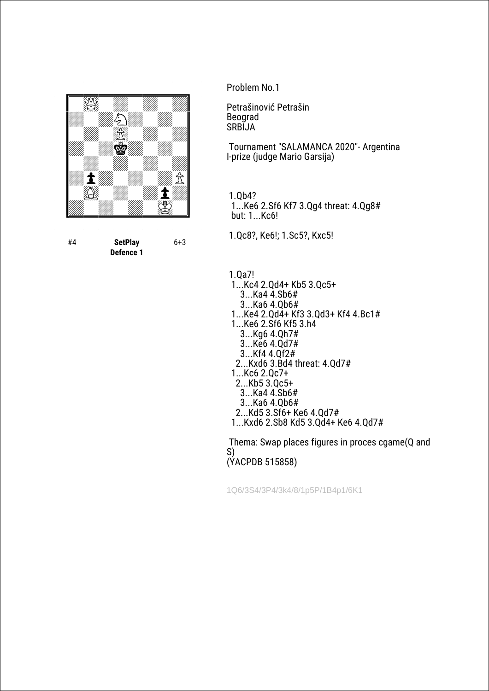

#4 **SetPlay Defence 1** 6+3 Problem No.1

Petrašinović Petrašin Beograd **SRBIJA** 

 Tournament "SALAMANCA 2020"- Argentina I-prize (judge Mario Garsija)

 1.Qb4? 1...Ke6 2.Sf6 Kf7 3.Qg4 threat: 4.Qg8# but: 1...Kc6!

1.Qc8?, Ke6!; 1.Sc5?, Kxc5!

1.Qa7!

 1...Kc4 2.Qd4+ Kb5 3.Qc5+ 3...Ka4 4.Sb6# 3...Ka6 4.Qb6# 1...Ke4 2.Qd4+ Kf3 3.Qd3+ Kf4 4.Bc1# 1...Ke6 2.Sf6 Kf5 3.h4 3...Kg6 4.Qh7# 3...Ke6 4.Qd7# 3...Kf4 4.Qf2# 2...Kxd6 3.Bd4 threat: 4.Qd7# 1...Kc6 2.Qc7+ 2...Kb5 3.Qc5+ 3...Ka4 4.Sb6# 3...Ka6 4.Qb6# 2...Kd5 3.Sf6+ Ke6 4.Qd7# 1...Kxd6 2.Sb8 Kd5 3.Qd4+ Ke6 4.Qd7# Thema: Swap places figures in proces cgame(Q and

S) (YACPDB 515858)

1Q6/3S4/3P4/3k4/8/1p5P/1B4p1/6K1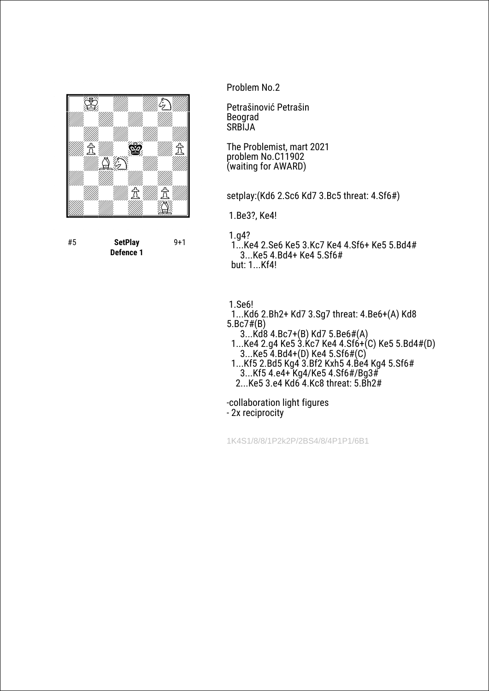

#5 **SetPlay Defence 1** 9+1 Problem No.2

Petrašinović Petrašin Beograd **SRBIJA** 

The Problemist, mart 2021 problem No.C11902 (waiting for AWARD)

setplay:(Kd6 2.Sc6 Kd7 3.Bc5 threat: 4.Sf6#)

1.Be3?, Ke4!

1.g4?

 1...Ke4 2.Se6 Ke5 3.Kc7 Ke4 4.Sf6+ Ke5 5.Bd4# 3...Ke5 4.Bd4+ Ke4 5.Sf6# but: 1...Kf4!

1.Se6!

- 1...Kd6 2.Bh2+ Kd7 3.Sg7 threat: 4.Be6+(A) Kd8 5.Bc7#(B)
- 3...Kd8 4.Bc7+(B) Kd7 5.Be6#(A)
- 1...Ke4 2.g4 Ke5 3.Kc7 Ke4 4.Sf6+(C) Ke5 5.Bd4#(D) 3...Ke5 4.Bd4+(D) Ke4 5.Sf6#(C)
- 1...Kf5 2.Bd5 Kg4 3.Bf2 Kxh5 4.Be4 Kg4 5.Sf6# 3...Kf5 4.e4+ Kg4/Ke5 4.Sf6#/Bg3# 2...Ke5 3.e4 Kd6 4.Kc8 threat: 5.Bh2#
- 

-collaboration light figures

- 2x reciprocity

1K4S1/8/8/1P2k2P/2BS4/8/4P1P1/6B1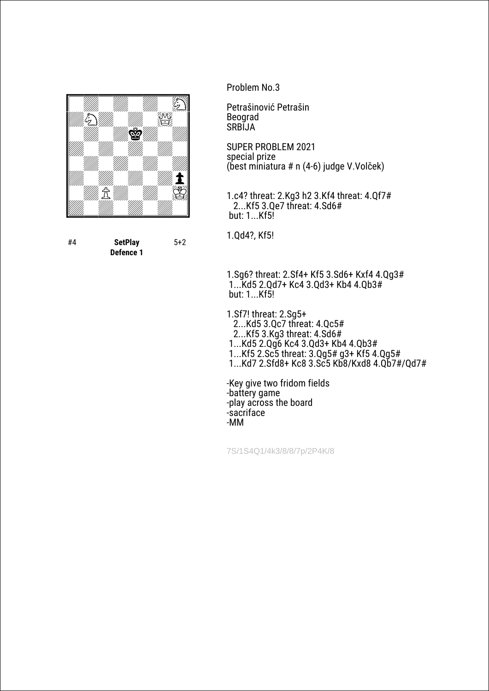

#4 **SetPlay Defence 1** 5+2 Problem No.3

Petrašinović Petrašin Beograd **SRBIJA** 

SUPER PROBLEM 2021 special prize (best miniatura # n (4-6) judge V.Volček)

1.c4? threat: 2.Kg3 h2 3.Kf4 threat: 4.Qf7# 2...Kf5 3.Qe7 threat: 4.Sd6# but: 1...Kf5!

1.Qd4?, Kf5!

1.Sg6? threat: 2.Sf4+ Kf5 3.Sd6+ Kxf4 4.Qg3# 1...Kd5 2.Qd7+ Kc4 3.Qd3+ Kb4 4.Qb3# but: 1...Kf5!

1.Sf7! threat: 2.Sg5+ 2...Kd5 3.Qc7 threat: 4.Qc5# 2...Kf5 3.Kg3 threat: 4.Sd6# 1...Kd5 2.Qg6 Kc4 3.Qd3+ Kb4 4.Qb3# 1...Kf5 2.Sc5 threat: 3.Qg5# g3+ Kf5 4.Qg5# 1...Kd7 2.Sfd8+ Kc8 3.Sc5 Kb8/Kxd8 4.Qb7#/Qd7#

-Key give two fridom fields -battery game -play across the board -sacriface -MM

7S/1S4Q1/4k3/8/8/7p/2P4K/8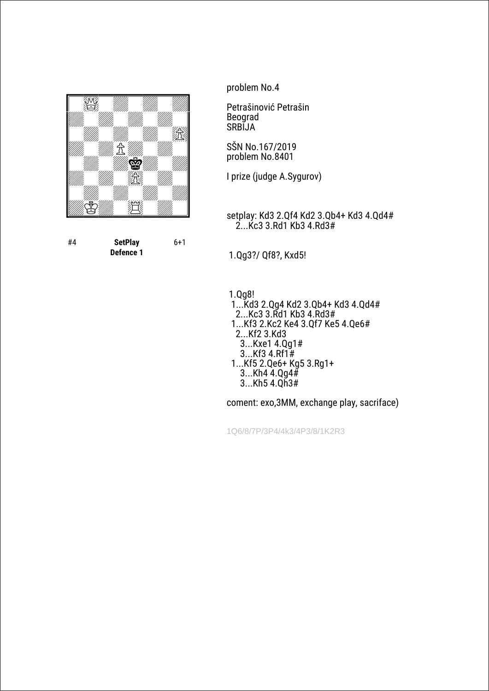

#4 **SetPlay Defence 1** 6+1 problem No.4

Petrašinović Petrašin Beograd SRBIJA

SŠN No.167/2019 problem No.8401

I prize (judge A.Sygurov)

setplay: Kd3 2.Qf4 Kd2 3.Qb4+ Kd3 4.Qd4# 2...Kc3 3.Rd1 Kb3 4.Rd3#

1.Qg3?/ Qf8?, Kxd5!

 1.Qg8! 1...Kd3 2.Qg4 Kd2 3.Qb4+ Kd3 4.Qd4# 2...Kc3 3.Rd1 Kb3 4.Rd3# 1...Kf3 2.Kc2 Ke4 3.Qf7 Ke5 4.Qe6# 2...Kf2 3.Kd3 3...Kxe1 4.Qg1# 3...Kf3 4.Rf1# 1...Kf5 2.Qe6+ Kg5 3.Rg1+ 3...Kh4 4.Qg4# 3...Kh5 4.Qh3#

coment: exo,3MM, exchange play, sacriface)

1Q6/8/7P/3P4/4k3/4P3/8/1K2R3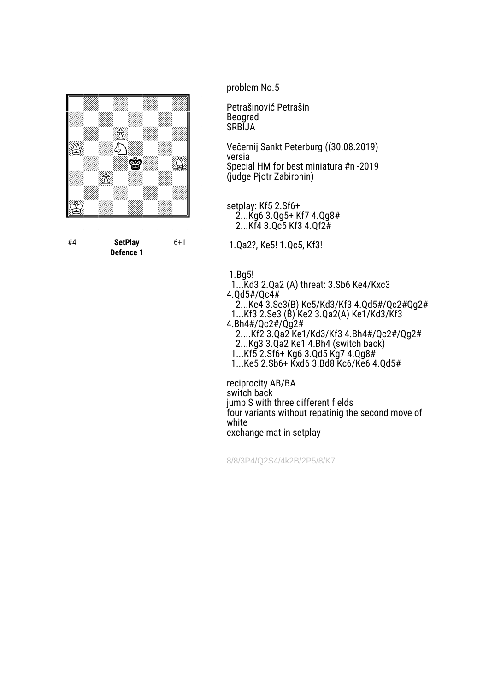

#4 **SetPlay Defence 1** 6+1 problem No.5

Petrašinović Petrašin Beograd SRBIJA

Večernij Sankt Peterburg ((30.08.2019) versia Special HM for best miniatura #n -2019 (judge Pjotr Zabirohin)

setplay: Kf5 2.Sf6+ 2...Kg6 3.Qg5+ Kf7 4.Qg8# 2...Kf4 3.Qc5 Kf3 4.Qf2#

1.Qa2?, Ke5! 1.Qc5, Kf3!

1.Bg5!

1...Kd3 2.Qa2 (A) threat: 3.Sb6 Ke4/Kxc3

4.Qd5#/Qc4# 2...Ke4 3.Se3(B) Ke5/Kd3/Kf3 4.Qd5#/Qc2#Qg2#

 1...Kf3 2.Se3 (B) Ke2 3.Qa2(A) Ke1/Kd3/Kf3 4.Bh4#/Qc2#/Qg2#

 2....Kf2 3.Qa2 Ke1/Kd3/Kf3 4.Bh4#/Qc2#/Qg2# 2...Kg3 3.Qa2 Ke1 4.Bh4 (switch back)

1...Kf5 2.Sf6+ Kg6 3.Qd5 Kg7 4.Qg8#

1...Ke5 2.Sb6+ Kxd6 3.Bd8 Kc6/Ke6 4.Qd5#

reciprocity AB/BA switch back jump S with three different fields four variants without repatinig the second move of white exchange mat in setplay

8/8/3P4/Q2S4/4k2B/2P5/8/K7